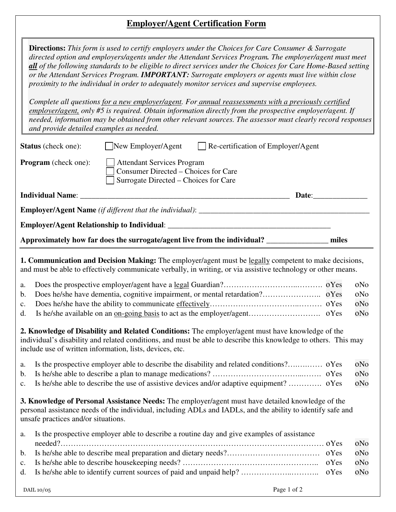## **Employer/Agent Certification Form**

|                                                                                               | <b>Directions:</b> This form is used to certify employers under the Choices for Care Consumer & Surrogate<br>directed option and employers/agents under the Attendant Services Program. The employer/agent must meet<br>all of the following standards to be eligible to direct services under the Choices for Care Home-Based setting<br>or the Attendant Services Program. IMPORTANT: Surrogate employers or agents must live within close<br>proximity to the individual in order to adequately monitor services and supervise employees. |              |                          |  |  |  |  |
|-----------------------------------------------------------------------------------------------|----------------------------------------------------------------------------------------------------------------------------------------------------------------------------------------------------------------------------------------------------------------------------------------------------------------------------------------------------------------------------------------------------------------------------------------------------------------------------------------------------------------------------------------------|--------------|--------------------------|--|--|--|--|
|                                                                                               | Complete all questions for a new employer/agent. For annual reassessments with a previously certified<br>employer/agent, only #5 is required. Obtain information directly from the prospective employer/agent. If<br>needed, information may be obtained from other relevant sources. The assessor must clearly record responses<br>and provide detailed examples as needed.                                                                                                                                                                 |              |                          |  |  |  |  |
|                                                                                               | $\log N$ Employer/Agent<br>Re-certification of Employer/Agent<br><b>Status</b> (check one):                                                                                                                                                                                                                                                                                                                                                                                                                                                  |              |                          |  |  |  |  |
|                                                                                               | <b>Program</b> (check one):<br><b>Attendant Services Program</b><br>Consumer Directed - Choices for Care<br>Surrogate Directed – Choices for Care                                                                                                                                                                                                                                                                                                                                                                                            |              |                          |  |  |  |  |
|                                                                                               | Date:<br><b>Individual Name:</b>                                                                                                                                                                                                                                                                                                                                                                                                                                                                                                             |              |                          |  |  |  |  |
|                                                                                               |                                                                                                                                                                                                                                                                                                                                                                                                                                                                                                                                              |              |                          |  |  |  |  |
|                                                                                               |                                                                                                                                                                                                                                                                                                                                                                                                                                                                                                                                              |              |                          |  |  |  |  |
| Approximately how far does the surrogate/agent live from the individual? ___________<br>miles |                                                                                                                                                                                                                                                                                                                                                                                                                                                                                                                                              |              |                          |  |  |  |  |
| a.<br>b.<br>$\mathbf{c}$ .<br>d.                                                              | 1. Communication and Decision Making: The employer/agent must be legally competent to make decisions,<br>and must be able to effectively communicate verbally, in writing, or via assistive technology or other means.                                                                                                                                                                                                                                                                                                                       |              | oNo<br>oNo<br>oNo<br>oNo |  |  |  |  |
|                                                                                               | 2. Knowledge of Disability and Related Conditions: The employer/agent must have knowledge of the<br>individual's disability and related conditions, and must be able to describe this knowledge to others. This may<br>include use of written information, lists, devices, etc.                                                                                                                                                                                                                                                              |              |                          |  |  |  |  |
| a.                                                                                            |                                                                                                                                                                                                                                                                                                                                                                                                                                                                                                                                              |              | oNo                      |  |  |  |  |
| b.                                                                                            | Is he/she able to describe the use of assistive devices and/or adaptive equipment?  oYes                                                                                                                                                                                                                                                                                                                                                                                                                                                     |              | oNo                      |  |  |  |  |
| c.                                                                                            |                                                                                                                                                                                                                                                                                                                                                                                                                                                                                                                                              |              | oNo                      |  |  |  |  |
|                                                                                               | 3. Knowledge of Personal Assistance Needs: The employer/agent must have detailed knowledge of the<br>personal assistance needs of the individual, including ADLs and IADLs, and the ability to identify safe and<br>unsafe practices and/or situations.                                                                                                                                                                                                                                                                                      |              |                          |  |  |  |  |
| a.                                                                                            | Is the prospective employer able to describe a routine day and give examples of assistance                                                                                                                                                                                                                                                                                                                                                                                                                                                   |              |                          |  |  |  |  |
|                                                                                               |                                                                                                                                                                                                                                                                                                                                                                                                                                                                                                                                              | oYes         | oNo                      |  |  |  |  |
| b.                                                                                            |                                                                                                                                                                                                                                                                                                                                                                                                                                                                                                                                              | oYes<br>oYes | oNo<br>oNo               |  |  |  |  |
| $\mathbf{c}$ .<br>d.                                                                          | Is he/she able to identify current sources of paid and unpaid help?                                                                                                                                                                                                                                                                                                                                                                                                                                                                          | oYes         | oNo                      |  |  |  |  |